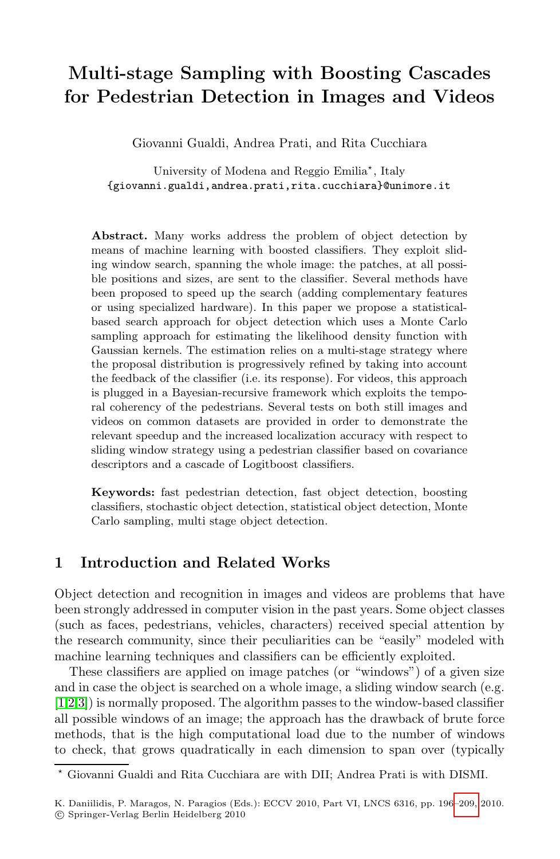# **Multi-stage Sampling with Boosting Cascades for Pedestrian Detection in Images and Videos**

Giovanni Gualdi, Andrea Prati, and Rita Cucchiara

University of Modena and Reggio Emilia<sup>\*</sup>, Italy {giovanni.gualdi,andrea.prati,rita.cucchiara}@unimore.it

**Abstract.** Many works address the problem of object detection by means of machine learning with boosted classifiers. They exploit sliding window search, spanning the whole image: the patches, at all possible positions and sizes, are sent to the classifier. Several methods have been proposed to speed up the search (adding complementary features or using specialized hardware). In this paper we propose a statisticalbased search approach for object detection which uses a Monte Carlo sampling approach for estimating the likelihood density function with Gaussian kernels. The estimation relies on a multi-stage strategy where the proposal distribution is progressively refined by taking into account the feedback of the classifier (i.e. its response). For videos, this approach is plugged in a Bayesian-recursive framework which exploits the temporal coherency of the pedestrians. Several tests on both still images and videos on common datasets are provided in order to demonstrate the relevant speedup and the increased localization accuracy with respect to sliding window strategy using a pedestrian classifier based on covariance descriptors and a cascade of Logitboost classifiers.

**Keywords:** fast pedestrian detection, fast object detection, boosting classifiers, stochastic object detection, statistical object detection, Monte Carlo sampling, multi stage object detection.

### **1 Introduction and Related Works**

Object detection and recognition in images and videos are problems that have been strongly addressed in computer vision in the past years. Some object classes (such as faces, pedestrians, vehicles, characters) received special attention by the research community, since their peculiarities can be "easily" modeled with machine learning techniques and classifiers can be efficiently exploited.

These classifiers are applied on image patches (or "windows") of a given size and in case the object is searched on a whole image, [a slid](#page-13-0)ing window search (e.g. [1,2,3]) is normally proposed. The algorithm passes to the window-based classifier all possible windows of an image; the approach has the drawback of brute force methods, that is the high computational load due to the number of windows to check, that grows quadratically in each dimension to span over (typically

<sup>-</sup> Giovanni Gualdi and Rita Cucchiara are with DII; Andrea Prati is with DISMI.

K. Daniilidis, P. Maragos, N. Paragios (Eds.): ECCV 2010, Part VI, LNCS 6316, pp. 196–209, 2010. -c Springer-Verlag Berlin Heidelberg 2010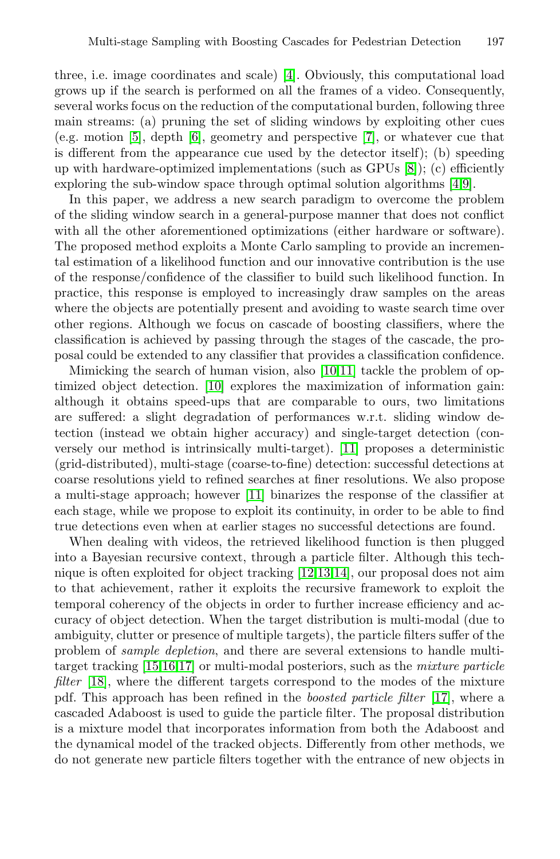three, i.e. image coordinates and scale) [4]. Obviously, this computational load grows up if the search is performed on all the frames of a video. Consequently, several works focus on the reduction of the computational burden, following three main streams: (a) pruning the set of sliding windows by exploiting other cues (e.g. motion [5], depth [6], geometry and perspective [7], or whatever cue that is different from the appearance cue used by the detector itself); (b) speeding up with hardware-optimized implementations (such as  $GPUs [8]$ ); (c) efficiently exploring the sub-window space through optimal solution algorithms [4,9].

In this paper, we address a new search paradigm to overcome the problem of the sliding window search in a general-purpose manner that does not conflict with all the other aforementioned optimizations (either hardware or software). The proposed method exploits a Monte Carlo sampling to provide an incremental estimation of a likelihood function and our innovative contribution is the use of the response/confidence of the classifier to build such likelihood function. In practice, this response is employed to increasingly draw samples on the areas where the objects are potentially present and avoiding to waste search time over other regions. Although we focus on cascade of boosting classifiers, where the classification is achieved by passing through the stages of the cascade, the proposal could be extended to any classifier that provides a classification confidence.

Mimicking the search of human vision, also [10,11] tackle the problem of optimized object detection. [10] explores the maximization of information gain: although it obtains speed-ups that are comparable to ours, two limitations are suffered: a slight degradation of performances w.r.t. sliding window detection (instead we obtain higher accuracy) and single-target detection (conversely our method is intrinsically multi-target). [11] proposes a deterministic (grid-distributed), multi-stage (coarse-to-fine) detection: successful detections at coarse resolutions yield to refined searches at finer resolutions. We also propose a multi-stage approach; however [11] binarizes the response of the classifier at each stage, while we propose to exploit its continuity, in order to be able to find true detections even when at earlier stages no successful detections are found.

When dealing with videos, the retrieved likelihood function is then plugged into a Bayesian recursive context, through a particle filter. Although this technique is often exploited for object tracking [12,13,14], our proposal does not aim to that achievement, rather it exploits the recursive framework to exploit the temporal coherency of the objects in order to further increase efficiency and accuracy of object detection. When the target distribution is multi-modal (due to ambiguity, clutter or presence of multiple targets), the particle filters suffer of the problem of *sample depletion*, and there are several extensions to handle multitarget tracking [15,16,17] or multi-modal posteriors, such as the *mixture particle filter* [18], where the different targets correspond to the modes of the mixture pdf. This approach has been refined in the *boosted particle filter* [17], where a cascaded Adaboost is used to guide the particle filter. The proposal distribution is a mixture model that incorporates information from both the Adaboost and the dynamical model of the tracked objects. Differently from other methods, we do not generate new particle filters together with the entrance of new objects in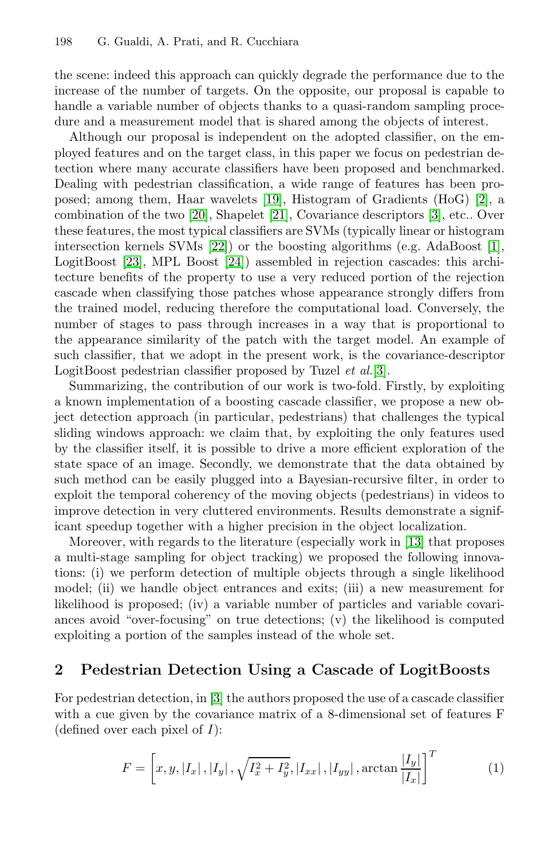the scene: indeed this approach can quickly degrade the performance due to the increase of the number of targets. On the opposite, our proposal is capable to handle a variable number of objects thanks to a quasi-random sampling procedure and a measurement model that is shared among the objects of interest.

Although our proposal is independent on the adopted classifier, on the employed features and on the target class, in this paper we focus on pedestrian detection where many accurate classifiers have been proposed and benchmarked. Dealing with pedestrian classification, a wide range of features has been proposed; among them, Haar wavelets [19], Histogram of Gradients (HoG) [2], a combination of the two [20], Shapelet [21], Covariance descriptors [3], etc.. Over these features, the most typical classifiers are SVMs (typically linear or histogram intersection kernels SVMs [22]) or the boosting algorithms (e.g. AdaBoost [1], LogitBoost [23], MPL Boost [24]) assembled in rejection cascades: this architecture benefits of the property to use a very reduced portion of the rejection cascade when classifying those patches whose appearance strongly differs from the trained model, reducing therefore the computational load. Conversely, the number of stages to pass through increases in a way that is proportional to the appearance similarity of the patch with the target model. An example of such classifier, that we adopt in the present work, is the covariance-descriptor LogitBoost pedestrian classifier proposed by Tuzel *et al.*[3].

Summarizing, the contribution of our work is two-fold. Firstly, by exploiting a known implementation of a boosting cascade classifier, we propose a new object detection approach (in particular, pedestrians) that challenges the typical sliding windows approach: we claim that, by exploiting the only features used by the classifier itself, it is possible to drive a more efficient exploration of the state space of an image. Secondly, we demonstrate that the data obtained by such method can be easily plugged into a Bayesian-recursive filter, in order to exploit the temporal coherency of the moving objects (pedestrians) in videos to improve detection in very cluttered environments. Results demonstrate a significant speedup together with a higher precision in the object localization.

Moreover, with regards to the literature (especially work in [13] that proposes a multi-stage sampling for object tracking) we proposed the following innovations: (i) we perform detection of multiple objects through a single likelihood model; (ii) we handle object entrances and exits; (iii) a new measurement for likelihood is proposed; (iv) a variable number of particles and variable covariances avoid "over-focusing" on true detections; (v) the likelihood is computed exploiting a portion of the samples instead of the whole set.

## **2 Pedestrian Detection Using a Cascade of LogitBoosts**

For pedestrian detection, in [3] the authors proposed the use of a cascade classifier with a cue given by the covariance matrix of a 8-dimensional set of features F (defined over each pixel of  $I$ ):

$$
F = \left[x, y, |I_x|, |I_y|, \sqrt{I_x^2 + I_y^2}, |I_{xx}|, |I_{yy}|, \arctan \frac{|I_y|}{|I_x|} \right]^T
$$
 (1)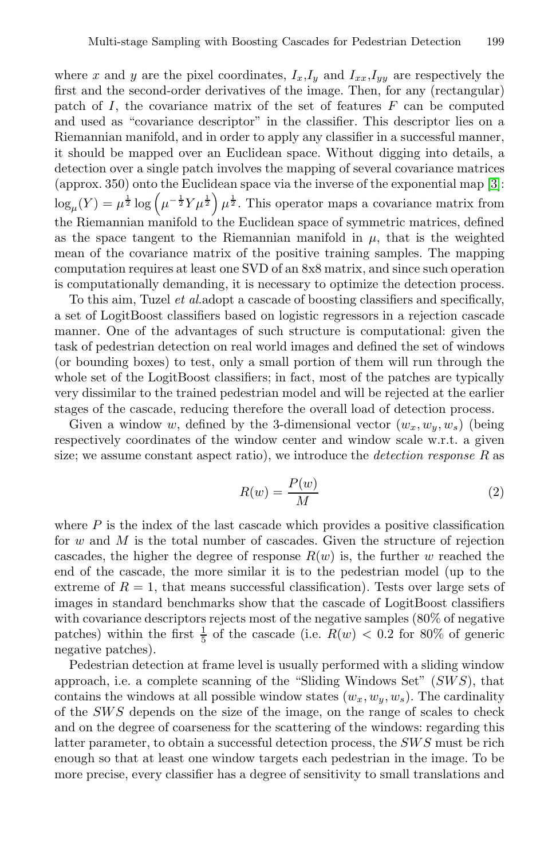where x and y are the pixel coordinates,  $I_x, I_y$  and  $I_{xx}, I_{yy}$  are respectively the first and the second-order derivatives of the image. Then, for any (rectangular) patch of  $I$ , the covariance matrix of the set of features  $F$  can be computed and used as "covariance descriptor" in the classifier. This descriptor lies on a Riemannian manifold, and in order to apply any classifier in a successful manner, it should be mapped over an Euclidean space. Without digging into details, a detection over a single patch involves the mapping of several covariance matrices (approx. 350) onto the Euclidean space via the inverse of the exponential map [3]:  $\log_{\mu}(Y) = \mu^{\frac{1}{2}} \log \left( \mu^{-\frac{1}{2}} Y \mu^{\frac{1}{2}} \right) \mu^{\frac{1}{2}}$ . This operator maps a covariance matrix from the Riemannian manifold to the Euclidean space of symmetric matrices, defined as the space tangent to the Riemannian manifold in  $\mu$ , that is the weighted mean of the covariance matrix of the positive training samples. The mapping computation requires at least one SVD of an 8x8 matrix, and since such operation is computationally demanding, it is necessary to optimize the detection process.

To this aim, Tuzel *et al.*adopt a cascade of boosting classifiers and specifically, a set of LogitBoost classifiers based on logistic regressors in a rejection cascade manner. One of the advantages of such structure is computational: given the task of pedestrian detection on real world images and defined the set of windows (or bounding boxes) to test, only a small portion of them will run through the whole set of the LogitBoost classifiers; in fact, most of the patches are typically very dissimilar to the trained pedestrian model and will be rejected at the earlier stages of the cascade, reducing therefore the overall load of detection process.

Given a window w, defined by the 3-dimensional vector  $(w_x, w_y, w_s)$  (being respectively coordinates of the window center and window scale w.r.t. a given size; we assume constant aspect ratio), we introduce the *detection response* R as

$$
R(w) = \frac{P(w)}{M}
$$
 (2)

where  $P$  is the index of the last cascade which provides a positive classification for  $w$  and  $M$  is the total number of cascades. Given the structure of rejection cascades, the higher the degree of response  $R(w)$  is, the further w reached the end of the cascade, the more similar it is to the pedestrian model (up to the extreme of  $R = 1$ , that means successful classification). Tests over large sets of images in standard benchmarks show that the cascade of LogitBoost classifiers with covariance descriptors rejects most of the negative samples (80% of negative patches) within the first  $\frac{1}{5}$  of the cascade (i.e.  $R(w) < 0.2$  for 80% of generic negative patches).

Pedestrian detection at frame level is usually performed with a sliding window approach, i.e. a complete scanning of the "Sliding Windows Set" (SWS), that contains the windows at all possible window states  $(w_x, w_y, w_s)$ . The cardinality of the SWS depends on the size of the image, on the range of scales to check and on the degree of coarseness for the scattering of the windows: regarding this latter parameter, to obtain a successful detection process, the SWS must be rich enough so that at least one window targets each pedestrian in the image. To be more precise, every classifier has a degree of sensitivity to small translations and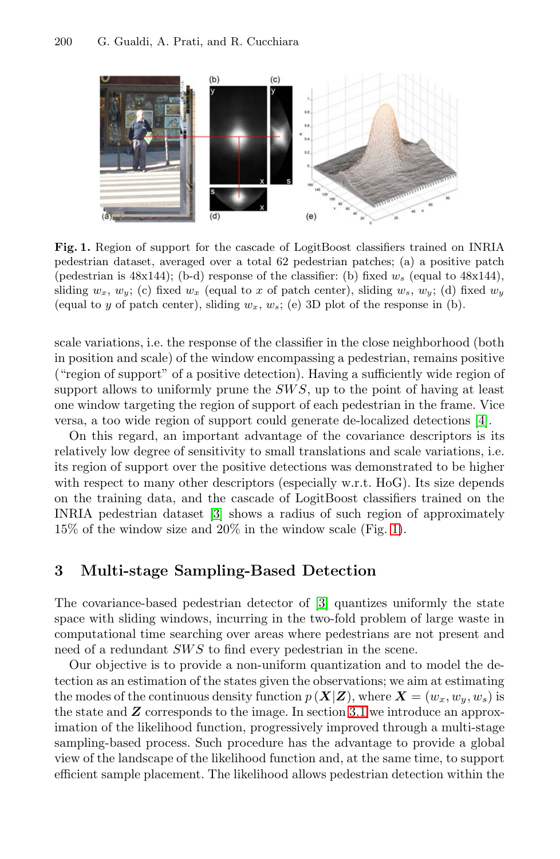

**Fig. 1.** Region of support for the cascade of LogitBoost classifiers trained on INRIA pedestrian dataset, averaged over a total 62 pedestrian patches; (a) a positive patch (pedestrian is  $48x144$ ); (b-d) response of the classifier: (b) fixed  $w_s$  (equal to  $48x144$ ), sliding  $w_x$ ,  $w_y$ ; (c) fixed  $w_x$  (equal to x of patch center), sliding  $w_s$ ,  $w_y$ ; (d) fixed  $w_y$ (equal to y of patch center), sliding  $w_x$ ,  $w_s$ ; (e) 3D plot of the response in (b).

scale variations, i.e. the response of the classifier in the close neighborhood (both in position and scale) of the window encompassing a pedestrian, remains positive ("region of support" of a positive detection). Having a sufficiently wide region of support allows to uniformly prune the SWS, up to the point of having at least one window targeting the region of support of each pedestrian in the frame. Vice versa, a too wide region of support could generate de-localized detections [4].

On this regard, an important advantage of the covariance descriptors is its relatively low degree of sensitivity to small translations and scale variations, i.e. its region of support over the positive detections was demonstrated to be higher with respect to many other descriptors (especially w.r.t. HoG). Its size depends on the training data, and the cascade of LogitBoost classifiers trained on the INRIA pedestrian dataset [3] shows a radius of such region of approximately 15% of the window size and 20% in the window scale (Fig. 1).

# **3 Multi-stage Sampling-Based Detection**

The covariance-based pedestrian detector of [3] quantizes uniformly the state space with sliding windows, incurring in the two-fold problem of large waste in computational time searching over areas where pedestrians are not present and need of a redundant SWS to find every pedestrian in the scene.

Our objective is to provide a non-uniform quantization and to model the detection as an estimation of the states given the observations; we aim at estimating the modes of the continuous density function  $p(X|Z)$ , where  $X = (w_x, w_y, w_s)$  is the state and *Z* corresponds to the image. In section 3.1 we introduce an approximation of the likelihood function, progressively improved through a multi-stage sampling-based process. Such procedure has the advantage to provide a global view of the landscape of the likelihood function and, at the same time, to support efficient sample placement. The likelihood allows pedestrian detection within the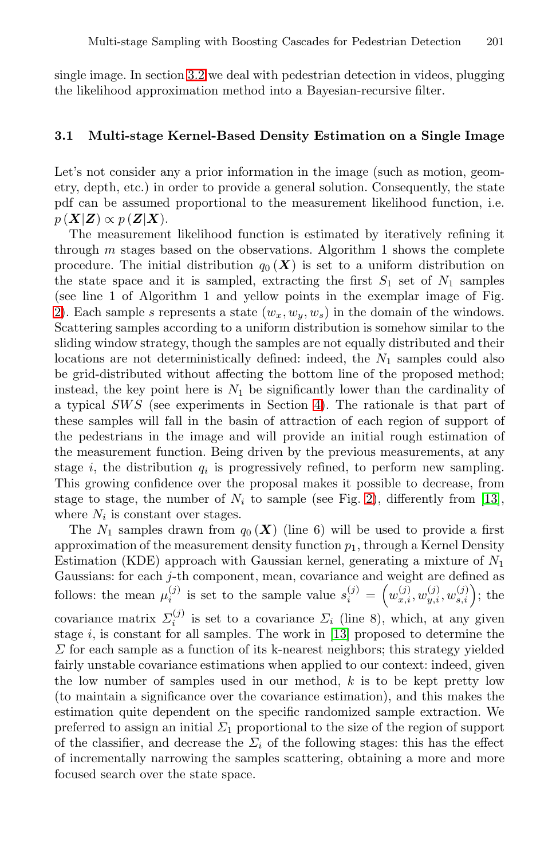single image. In section 3.2 we deal with pedestrian detection in videos, plugging the likelihood approximation method into a Bayesian-recursive filter.

### **3.1 Multi-stage Kernel-Based Density Estimation on a Single Image**

Let's not consider any a prior information in the image (such as motion, geometry, depth, etc.) in order to provide a general solution. Consequently, the state pdf can be assumed proportional to the measurement likelihood function, i.e.  $p(X|Z) \propto p(Z|X)$ .

The measurement likelihood function is estimated by iteratively refining it through  $m$  stages based on the observations. Algorithm 1 shows the complete procedure. The initial distribution  $q_0(X)$  is set to a uniform distribution on the state space and it is sampled, extracting the first  $S_1$  set of  $N_1$  samples (see line 1 of Algorithm 1 and yellow points in the exemplar image of Fig. 2). Each sample s represents a state  $(w_x, w_y, w_s)$  in the domain of the windows. Scattering samples according to a uniform distribution is somehow similar to the sliding window strategy, though the samples are not equally distributed and their locations are not deterministically defined: indeed, the  $N_1$  samples could also be grid-distributed without affecting the bottom line of the proposed method; instead, the key point here is  $N_1$  be significantly lower than the cardinality of a typical SWS (see experiments in Section 4). The rationale is that part of these samples will fall in the basin of attraction of each region of support of the pedestrians in the image and will provide an initial rough estimation of the measurement function. Being driven by the previous measurements, at any stage i, the distribution  $q_i$  is progressively refined, to perform new sampling. This growing confidence over the proposal makes it possible to decrease, from stage to stage, the number of  $N_i$  to sample (see Fig. 2), differently from [13], where  $N_i$  is constant over stages.

The  $N_1$  samples drawn from  $q_0(X)$  (line 6) will be used to provide a first approximation of the measurement density function  $p_1$ , through a Kernel Density Estimation (KDE) approach with Gaussian kernel, generating a mixture of  $N_1$ Gaussians: for each j-th component, mean, covariance and weight are defined as follows: the mean  $\mu_i^{(j)}$  is set to the sample value  $s_i^{(j)} = (w_{x,i}^{(j)}, w_{y,i}^{(j)}, w_{s,i}^{(j)})$ ; the covariance matrix  $\Sigma_i^{(j)}$  is set to a covariance  $\Sigma_i$  (line 8), which, at any given stage  $i$ , is constant for all samples. The work in [13] proposed to determine the  $\Sigma$  for each sample as a function of its k-nearest neighbors; this strategy yielded fairly unstable covariance estimations when applied to our context: indeed, given the low number of samples used in our method,  $k$  is to be kept pretty low (to maintain a significance over the covariance estimation), and this makes the estimation quite dependent on the specific randomized sample extraction. We preferred to assign an initial  $\Sigma_1$  proportional to the size of the region of support of the classifier, and decrease the  $\Sigma_i$  of the following stages: this has the effect of incrementally narrowing the samples scattering, obtaining a more and more focused search over the state space.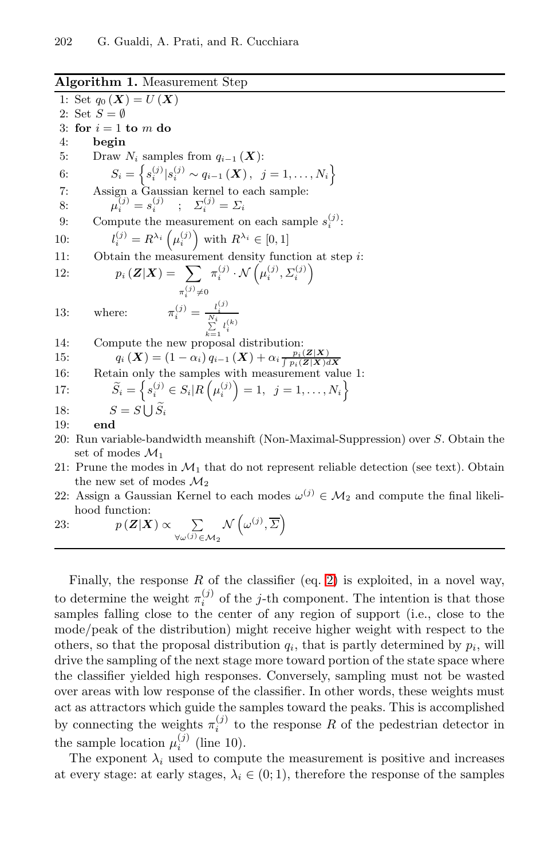#### **Algorithm 1.** Measurement Step

1: Set  $q_0(X) = U(X)$ 2: Set  $S = \emptyset$ 3: for  $i = 1$  to  $m$  do 4: **begin** 5: Draw  $N_i$  samples from  $q_{i-1}(\boldsymbol{X})$ : 6:  $S_i = \left\{ s_i^{(j)} | s_i^{(j)} \sim q_{i-1}(\boldsymbol{X}), \ j = 1, \ldots, N_i \right\}$ 7: Assign a Gaussian kernel to each sample:<br>8:  $\mu_i^{(j)} = s_i^{(j)}$  ;  $\Sigma_i^{(j)} = \Sigma_i$ 9: Compute the measurement on each sample  $s_i^{(j)}$ : 10:  $l_i^{(j)} = R^{\lambda_i} \left(\mu_i^{(j)}\right)$  with  $R^{\lambda_i} \in [0, 1]$ 11: Obtain the measurement density function at step i: 12:  $p_i(Z|X) = \sum$  $\pi_i^{(j)} \neq 0$  $\pi_i^{(j)} \cdot \mathcal{N}\left(\mu_i^{(j)}, \Sigma_i^{(j)}\right)$ 13: where:  $\pi_i^{(j)} = \frac{l_i^{(j)}}{\sum\limits_{i}^{N_i} l_i^{(k)}}$ 14: Compute the new proposal distribution:<br>
15:  $q_i(\mathbf{X}) = (1 - \alpha_i) q_{i-1}(\mathbf{X}) + \alpha_i \frac{p_i(\mathbf{Z}|\mathbf{X})}{\int p_i(\mathbf{Z}|\mathbf{X}) d\mathbf{X}}$ <br>
16: Retain only the samples with measurement value 1: 17:  $\widetilde{S}_i = \left\{ s_i^{(j)} \in S_i | R\left(\mu_i^{(j)}\right) = 1, j = 1, ..., N_i \right\}$ 18:  $S = S \cup \widetilde{S}_i$ <br>19: **end** 19: **end** 20: Run variable-bandwidth meanshift (Non-Maximal-Suppression) over S. Obtain the set of modes  $\mathcal{M}_1$ 21: Prune the modes in  $\mathcal{M}_1$  that do not represent reliable detection (see text). Obtain the new set of modes  $\mathcal{M}_2$ 22: Assign a Gaussian Kernel to each modes  $\omega^{(j)} \in M_2$  and compute the final likelihood function:

23:  $p(Z|X) \propto \sum_{x \in \mathbb{R}^n}$  $\sum_{\forall \omega^{(j)} \in \mathcal{M}_2} \mathcal{N}\left(\omega^{(j)}, \overline{\Sigma}\right)$ 

Finally, the response  $R$  of the classifier (eq. 2) is exploited, in a novel way, to determine the weight  $\pi_i^{(j)}$  of the j-th component. The intention is that those samples falling close to the center of any region of support (i.e., close to the mode/peak of the distribution) might receive higher weight with respect to the others, so that the proposal distribution  $q_i$ , that is partly determined by  $p_i$ , will drive the sampling of the next stage more toward portion of the state space where the classifier yielded high responses. Conversely, sampling must not be wasted over areas with low response of the classifier. In other words, these weights must act as attractors which guide the samples toward the peaks. This is accomplished by connecting the weights  $\pi_i^{(j)}$  to the response R of the pedestrian detector in the sample location  $\mu_i^{(j)}$  (line 10).

The exponent  $\lambda_i$  used to compute the measurement is positive and increases at every stage: at early stages,  $\lambda_i \in (0, 1)$ , therefore the response of the samples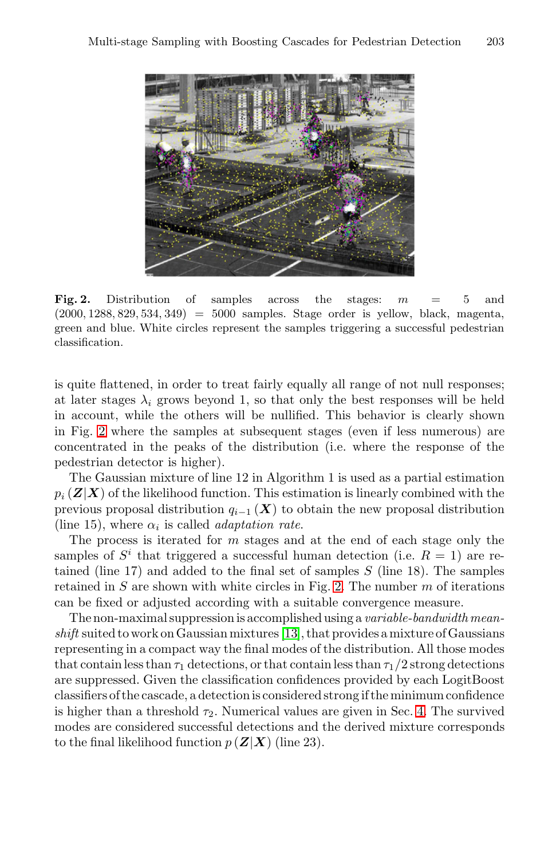

**Fig. 2.** Distribution of samples across the stages: m = 5 and (2000, 1288, 829, 534, 349) = 5000 samples. Stage order is yellow, black, magenta, green and blue. White circles represent the samples triggering a successful pedestrian classification.

is quite flattened, in order to treat fairly equally all range of not null responses; at later stages  $\lambda_i$  grows beyond 1, so that only the best responses will be held in account, while the others will be nullified. This behavior is clearly shown in Fig. 2 where the samples at subsequent stages (even if less numerous) are concentrated in the peaks of the distribution (i.e. where the response of the pedestrian detector is higher).

The Gaussian mixture of line 12 in Algorithm 1 is used as a partial estimation  $p_i(\mathbf{Z}|\mathbf{X})$  of the likelihood function. This estimation is linearly combined with the previous proposal distribution  $q_{i-1}(\boldsymbol{X})$  to obtain the new proposal distribution (line 15), where  $\alpha_i$  is called *adaptation rate*.

The process is iterated for  $m$  stages and at the end of each stage only the samples of  $S<sup>i</sup>$  that triggered a successful human detection (i.e.  $R = 1$ ) are retained (line 17) and added to the final set of samples  $S$  (line 18). The samples retained in  $S$  are shown with white circles in Fig. 2. The number  $m$  of iterations can be fixed or adjusted according with a suitable convergence measure.

The non-maximal suppression is accomplished using a *variable-bandwidth meanshift* suited to work on Gaussian mixtures [13], that provides a mixture of Gaussians representing in a compact way the final modes of the distribution. All those modes that contain less than  $\tau_1$  detections, or that contain less than  $\tau_1/2$  strong detections are suppressed. Given the classification confidences provided by each LogitBoost classifiers of the cascade, a detection is considered strong if the minimum confidence is higher than a threshold  $\tau_2$ . Numerical values are given in Sec. 4. The survived modes are considered successful detections and the derived mixture corresponds to the final likelihood function  $p(\mathbf{Z}|\mathbf{X})$  (line 23).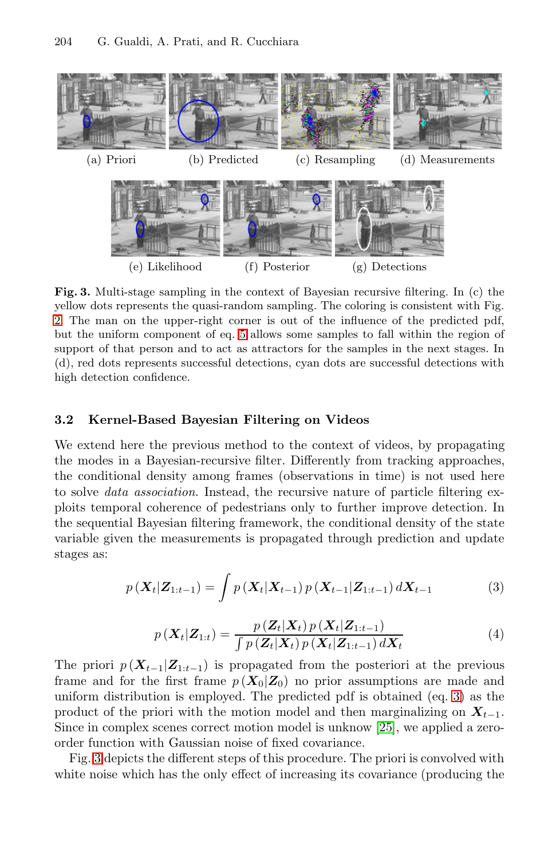

**Fig. 3.** Multi-stage sampling in the context of Bayesian recursive filtering. In (c) the yellow dots represents the quasi-random sampling. The coloring is consistent with Fig. 2. The man on the upper-right corner is out of the influence of the predicted pdf, but the uniform component of eq. 5 allows some samples to fall within the region of support of that person and to act as attractors for the samples in the next stages. In (d), red dots represents successful detections, cyan dots are successful detections with high detection confidence.

### **3.2 Kernel-Based Bayesian Filtering on Videos**

We extend here the previous method to the context of videos, by propagating the modes in a Bayesian-recursive filter. Differently from tracking approaches, the conditional density among frames (observations in time) is not used here to solve *data association*. Instead, the recursive nature of particle filtering exploits temporal coherence of pedestrians only to further improve detection. In the sequential Bayesian filtering framework, the conditional density of the state variable given the measurements is propagated through prediction and update stages as:

$$
p\left(\mathbf{X}_{t}|\mathbf{Z}_{1:t-1}\right)=\int p\left(\mathbf{X}_{t}|\mathbf{X}_{t-1}\right)p\left(\mathbf{X}_{t-1}|\mathbf{Z}_{1:t-1}\right)d\mathbf{X}_{t-1}
$$
\n(3)

$$
p\left(\mathbf{X}_{t}|\mathbf{Z}_{1:t}\right) = \frac{p\left(\mathbf{Z}_{t}|\mathbf{X}_{t}\right)p\left(\mathbf{X}_{t}|\mathbf{Z}_{1:t-1}\right)}{\int p\left(\mathbf{Z}_{t}|\mathbf{X}_{t}\right)p\left(\mathbf{X}_{t}|\mathbf{Z}_{1:t-1}\right)d\mathbf{X}_{t}}
$$
(4)

The priori  $p(X_{t-1}|\mathbf{Z}_{1:t-1})$  is propagated from the posteriori at the previous frame and for the first frame  $p(X_0|Z_0)$  no prior assumptions are made and uniform distribution is employed. The predicted pdf is obtained (eq. 3) as the product of the priori with the motion model and then marginalizing on  $X_{t-1}$ . Since in complex scenes correct motion model is unknow [25], we applied a zeroorder function with Gaussian noise of fixed covariance.

Fig. 3 depicts the different steps of this procedure. The priori is convolved with white noise which has the only effect of increasing its covariance (producing the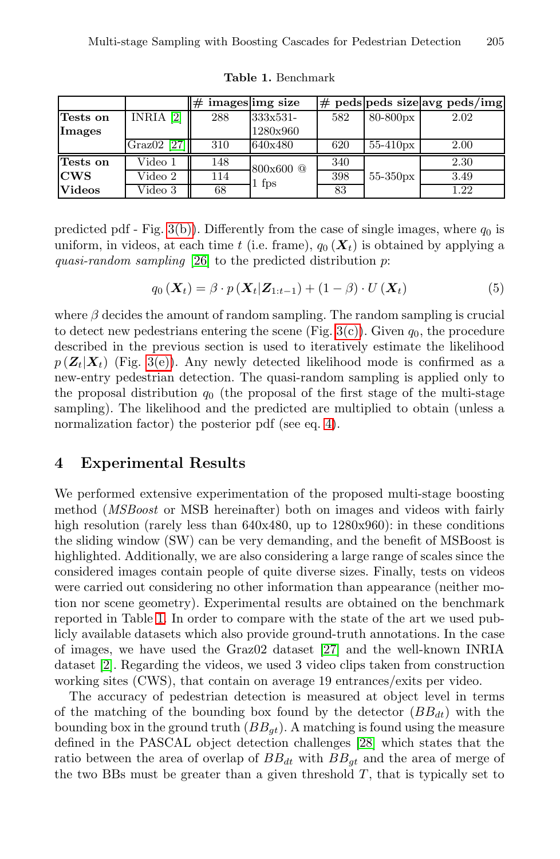|               |                | #   | images img size    | #   |            | peds peds size avg peds/img |
|---------------|----------------|-----|--------------------|-----|------------|-----------------------------|
| Tests on      | $INRIA$ [2]    | 288 | 333x531-           | 582 | $80-800px$ | 2.02                        |
| Images        |                |     | 1280x960           |     |            |                             |
|               | Graz $02$ [27] | 310 | 640x480            | 620 | $55-410px$ | 2.00                        |
| Tests on      | Video 1        | 148 | 800x600 @<br>1 fps | 340 | $55-350px$ | 2.30                        |
| <b>CWS</b>    | Video 2        | 114 |                    | 398 |            | 3.49                        |
| <b>Videos</b> | Video 3        | 68  |                    | 83  |            | 1.22                        |

**Table 1.** Benchmark

predicted pdf - Fig. 3(b)). Differently from the case of single images, where  $q_0$  is uniform, in videos, at each time t (i.e. frame),  $q_0(X_t)$  is obtained by applying a *quasi-random sampling* [26] to the predicted distribution p:

$$
q_0\left(\boldsymbol{X}_t\right) = \beta \cdot p\left(\boldsymbol{X}_t | \boldsymbol{Z}_{1:t-1}\right) + \left(1 - \beta\right) \cdot U\left(\boldsymbol{X}_t\right) \tag{5}
$$

where  $\beta$  decides the amount of random sampling. The random sampling is crucial to detect new pedestrians entering the scene (Fig. 3(c)). Given  $q_0$ , the procedure described in the previous section is used to iteratively estimate the likelihood  $p(\mathbf{Z}_t|\mathbf{X}_t)$  (Fig. 3(e)). Any newly detected likelihood mode is confirmed as a new-entry pedestrian detection. The quasi-random sampling is applied only to the proposal distribution  $q_0$  (the proposal of the first stage of the multi-stage sampling). The likelihood and the predicted are multiplied to obtain (unless a normalization factor) the posterior pdf (see eq. 4).

### **4 Experimental Results**

We performed extensive experimentation of the proposed multi-stage boosting method (*MSBoost* or MSB hereinafter) both on images and videos with fairly high resolution (rarely less than 640x480, up to 1280x960): in these conditions the sliding window (SW) can be very demanding, and the benefit of MSBoost is highlighted. Additionally, we are also considering a large range of scales since the considered images contain people of quite diverse sizes. Finally, tests on videos were carried out considering no other information than appearance (neither motion nor scene geometry). Experimental results are obtained on the benchmark reported in Table 1. In order to compare with the state of the art we used publicly available datasets which also provide ground-truth annotations. In the case of images, we have used the Graz02 dataset [27] and the well-known INRIA dataset [2]. Regarding the videos, we used 3 video clips taken from construction working sites (CWS), that contain on average 19 entrances/exits per video.

The accuracy of pedestrian detection is measured at object level in terms of the matching of the bounding box found by the detector  $(BB_{dt})$  with the bounding box in the ground truth  $(BB_{at})$ . A matching is found using the measure defined in the PASCAL object detection challenges [28] which states that the ratio between the area of overlap of  $BB_{dt}$  with  $BB_{qt}$  and the area of merge of the two BBs must be greater than a given threshold  $T$ , that is typically set to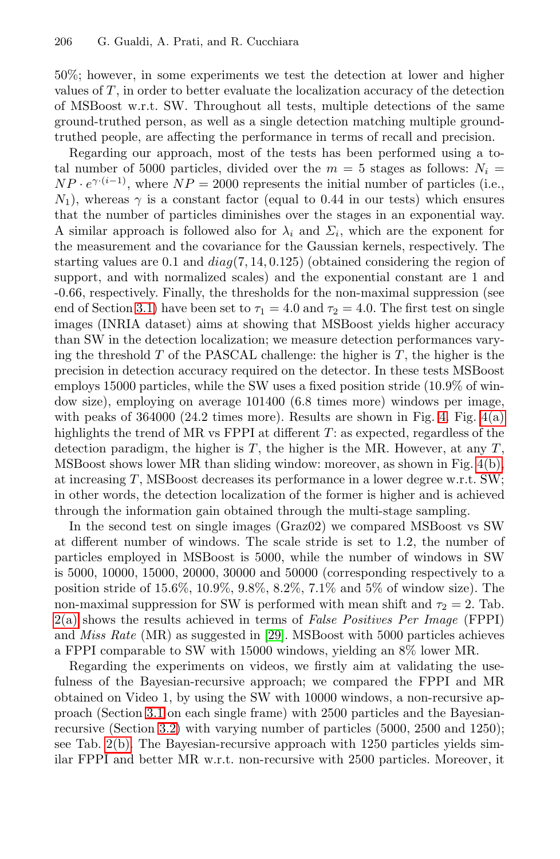50%; however, in some experiments we test the detection at lower and higher values of  $T$ , in order to better evaluate the localization accuracy of the detection of MSBoost w.r.t. SW. Throughout all tests, multiple detections of the same ground-truthed person, as well as a single detection matching multiple groundtruthed people, are affecting the performance in terms of recall and precision.

Regarding our approach, most of the tests has been performed using a total number of 5000 particles, divided over the  $m = 5$  stages as follows:  $N_i =$  $NP \cdot e^{\gamma \cdot (i-1)}$ , where  $NP = 2000$  represents the initial number of particles (i.e.,  $N_1$ ), whereas  $\gamma$  is a constant factor (equal to 0.44 in our tests) which ensures that the number of particles diminishes over the stages in an exponential way. A similar approach is followed also for  $\lambda_i$  and  $\Sigma_i$ , which are the exponent for the measurement and the covariance for the Gaussian kernels, respectively. The starting values are 0.1 and  $diag(7, 14, 0.125)$  (obtained considering the region of support, and with normalized scales) and the exponential constant are 1 and -0.66, respectively. Finally, the thresholds for the non-maximal suppression (see end of Section 3.1) have been set to  $\tau_1 = 4.0$  and  $\tau_2 = 4.0$ . The first test on single images (INRIA dataset) aims at showing that MSBoost yields higher accuracy than SW in the detection localization; we measure detection performances varying the threshold  $T$  of the PASCAL challenge: the higher is  $T$ , the higher is the precision in detection accuracy required on the detector. In these tests MSBoost employs 15000 particles, while the SW uses a fixed position stride (10.9% of window size), employing on average 101400 (6.8 times more) windows per image, with peaks of  $364000$   $(24.2 \text{ times more})$ . Results are shown in Fig. 4. Fig.  $4(a)$ highlights the trend of MR vs FPPI at different  $T$ : as expected, regardless of the detection paradigm, the higher is  $T$ , the higher is the MR. However, at any  $T$ , MSBoost shows lower MR than sliding window: moreover, as shown in Fig. 4(b), at increasing  $T$ , MSBoost decreases its performance in a lower degree w.r.t. SW; in other words, the detection localization of the former is higher and is achieved through the information gain obtained through the multi-stage sampling.

In the second test on single images (Graz02) we compared MSBoost vs SW at different number of windows. The scale stride is set to 1.2, the number of particles employed in MSBoost is 5000, while the number of windows in SW is 5000, 10000, 15000, 20000, 30000 and 50000 (corresponding respectively to a position stride of 15.6%, 10.9%, 9.8%, 8.2%, 7.1% and 5% of window size). The non-maximal suppression for SW is performed with mean shift and  $\tau_2 = 2$ . Tab. 2(a) shows the results achieved in terms of *False Positives Per Image* (FPPI) and *Miss Rate* (MR) as suggested in [29]. MSBoost with 5000 particles achieves a FPPI comparable to SW with 15000 windows, yielding an 8% lower MR.

Regarding the experiments on videos, we firstly aim at validating the usefulness of the Bayesian-recursive approach; we compared the FPPI and MR obtained on Video 1, by using the SW with 10000 windows, a non-recursive approach (Section 3.1 on each single frame) with 2500 particles and the Bayesianrecursive (Section 3.2) with varying number of particles (5000, 2500 and 1250); see Tab. 2(b). The Bayesian-recursive approach with 1250 particles yields similar FPPI and better MR w.r.t. non-recursive with 2500 particles. Moreover, it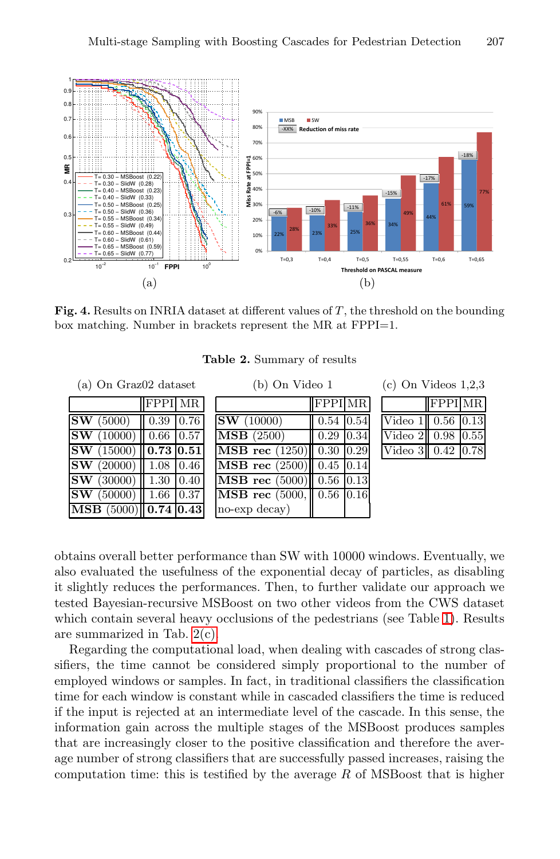

 $\overline{0}$ 1 Multi-stage Sampling with Boosting Cascades for Pedestrian Detection 207



**Fig. 4.** Results on INRIA dataset at different values of T, the threshold on the bounding box matching. Number in brackets represent the MR at FPPI=1.

**Table 2.** Summary of results

| (a) On Graz02 dataset                             |                  | (b) On Video 1 | $(c)$ On Videos 1,2,3                        |                |                      |
|---------------------------------------------------|------------------|----------------|----------------------------------------------|----------------|----------------------|
|                                                   | <b>FPPI MR</b>   |                |                                              | <b>FPPI MR</b> | <b>FPPI</b> MR       |
| <b>SW</b><br>(5000)                               | $0.39 \mid 0.76$ |                | SW(10000)                                    | 0.54 0.54      | Video 1  $0.56$ 0.13 |
| $SW(10000)$ 0.66 0.57                             |                  |                | <b>MSB</b> (2500)                            | $0.29 \, 0.34$ | Video $2  0.98 0.55$ |
| $(15000)$ 0.73 0.51<br><b>SW</b>                  |                  |                | <b>MSB</b> rec $(1250)$ 0.30 0.29            |                | Video 3 0.42 0.78    |
| $(20000)$ 1.08 0.46<br><b>SW</b>                  |                  |                | $\overline{\text{MSB}}$ rec (2500) 0.45 0.14 |                |                      |
| $\mathbf{S}\mathbf{W}$<br>$(30000)$   1.30   0.40 |                  |                | $\overline{\text{MSB}}$ rec (5000) 0.56 0.13 |                |                      |
| SW $(50000)$   1.66   0.37                        |                  |                | $MSB$ rec $(5000, 0.56)$ 0.16                |                |                      |
| $\ \text{MSB}$ (5000) 0.74 0.43                   |                  |                | no-exp decay)                                |                |                      |

obtains overall better performance than SW with 10000 windows. Eventually, we also evaluated the usefulness of the exponential decay of particles, as disabling it slightly reduces the performances. Then, to further validate our approach we tested Bayesian-recursive MSBoost on two other videos from the CWS dataset which contain several heavy occlusions of the pedestrians (see Table 1). Results are summarized in Tab. 2(c).

Regarding the computational load, when dealing with cascades of strong classifiers, the time cannot be considered simply proportional to the number of employed windows or samples. In fact, in traditional classifiers the classification time for each window is constant while in cascaded classifiers the time is reduced if the input is rejected at an intermediate level of the cascade. In this sense, the information gain across the multiple stages of the MSBoost produces samples that are increasingly closer to the positive classification and therefore the average number of strong classifiers that are successfully passed increases, raising the computation time: this is testified by the average  $R$  of MSBoost that is higher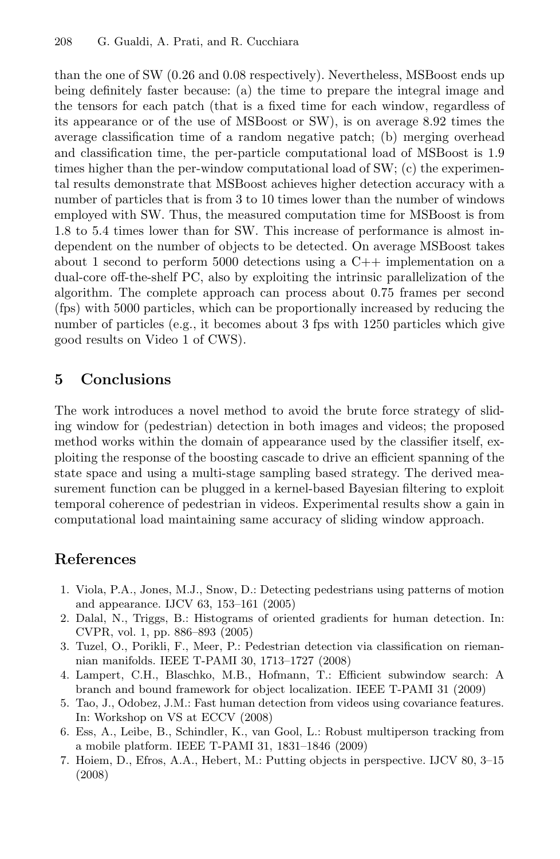than the one of SW (0.26 and 0.08 respectively). Nevertheless, MSBoost ends up being definitely faster because: (a) the time to prepare the integral image and the tensors for each patch (that is a fixed time for each window, regardless of its appearance or of the use of MSBoost or SW), is on average 8.92 times the average classification time of a random negative patch; (b) merging overhead and classification time, the per-particle computational load of MSBoost is 1.9 times higher than the per-window computational load of SW; (c) the experimental results demonstrate that MSBoost achieves higher detection accuracy with a number of particles that is from 3 to 10 times lower than the number of windows employed with SW. Thus, the measured computation time for MSBoost is from 1.8 to 5.4 times lower than for SW. This increase of performance is almost independent on the number of objects to be detected. On average MSBoost takes about 1 second to perform 5000 detections using a  $C++$  implementation on a dual-core off-the-shelf PC, also by exploiting the intrinsic parallelization of the algorithm. The complete approach can process about 0.75 frames per second (fps) with 5000 particles, which can be proportionally increased by reducing the number of particles (e.g., it becomes about 3 fps with 1250 particles which give good results on Video 1 of CWS).

# **5 Conclusions**

The work introduces a novel method to avoid the brute force strategy of sliding window for (pedestrian) detection in both images and videos; the proposed method works within the domain of appearance used by the classifier itself, exploiting the response of the boosting cascade to drive an efficient spanning of the state space and using a multi-stage sampling based strategy. The derived measurement function can be plugged in a kernel-based Bayesian filtering to exploit temporal coherence of pedestrian in videos. Experimental results show a gain in computational load maintaining same accuracy of sliding window approach.

### **References**

- 1. Viola, P.A., Jones, M.J., Snow, D.: Detecting pedestrians using patterns of motion and appearance. IJCV 63, 153–161 (2005)
- 2. Dalal, N., Triggs, B.: Histograms of oriented gradients for human detection. In: CVPR, vol. 1, pp. 886–893 (2005)
- 3. Tuzel, O., Porikli, F., Meer, P.: Pedestrian detection via classification on riemannian manifolds. IEEE T-PAMI 30, 1713–1727 (2008)
- 4. Lampert, C.H., Blaschko, M.B., Hofmann, T.: Efficient subwindow search: A branch and bound framework for object localization. IEEE T-PAMI 31 (2009)
- 5. Tao, J., Odobez, J.M.: Fast human detection from videos using covariance features. In: Workshop on VS at ECCV (2008)
- 6. Ess, A., Leibe, B., Schindler, K., van Gool, L.: Robust multiperson tracking from a mobile platform. IEEE T-PAMI 31, 1831–1846 (2009)
- 7. Hoiem, D., Efros, A.A., Hebert, M.: Putting objects in perspective. IJCV 80, 3–15 (2008)